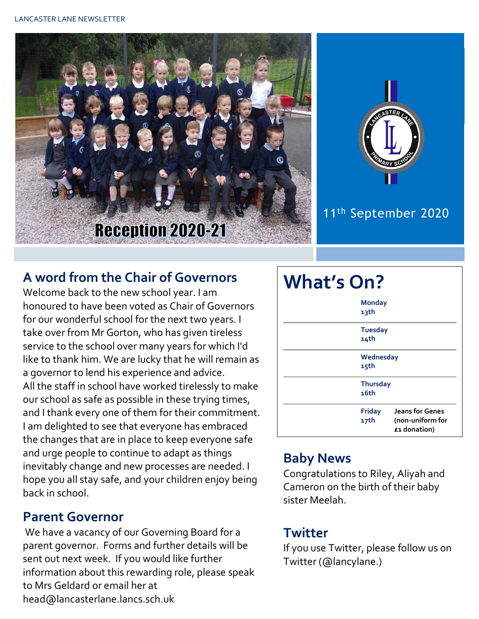



## 11<sup>th</sup> September 2020

## **A word from the Chair of Governors**

Welcome back to the new school year. I am honoured to have been voted as Chair of Governors for our wonderful school for the next two years. I take over from Mr Gorton, who has given tireless service to the school over many years for which I'd like to thank him. We are lucky that he will remain as a governor to lend his experience and advice. All the staff in school have worked tirelessly to make our school as safe as possible in these trying times, and I thank every one of them for their commitment. I am delighted to see that everyone has embraced the changes that are in place to keep everyone safe and urge people to continue to adapt as things inevitably change and new processes are needed. I hope you all stay safe, and your children enjoy being back in school.

#### **Parent Governor**

We have a vacancy of our Governing Board for a parent governor. Forms and further details will be sent out next week. If you would like further information about this rewarding role, please speak to Mrs Geldard or email her at head@lancasterlane.lancs.sch.uk

| <b>What's On?</b> |                                                                      |  |  |  |  |  |  |
|-------------------|----------------------------------------------------------------------|--|--|--|--|--|--|
|                   | <b>Monday</b><br>13th                                                |  |  |  |  |  |  |
| 14th              | <b>Tuesday</b>                                                       |  |  |  |  |  |  |
| Wednesday<br>15th |                                                                      |  |  |  |  |  |  |
|                   | <b>Thursday</b><br>16th                                              |  |  |  |  |  |  |
| 17th              | <b>Jeans for Genes</b><br>Friday<br>(non-uniform for<br>£1 donation) |  |  |  |  |  |  |

## **Baby News**

Congratulations to Riley, Aliyah and Cameron on the birth of their baby sister Meelah.

#### **Twitter**

If you use Twitter, please follow us on Twitter (@lancylane.)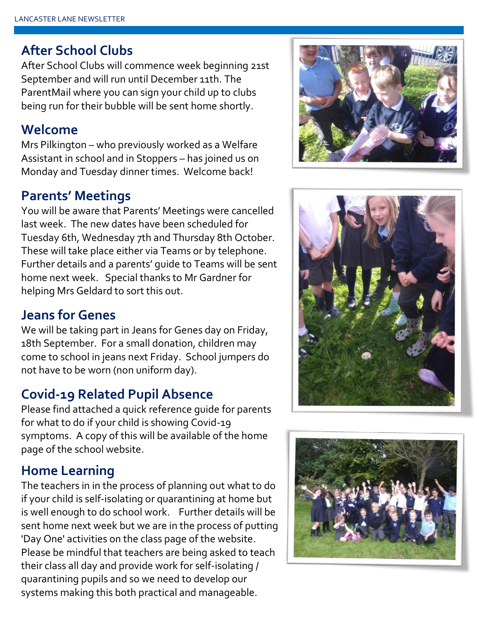## **After School Clubs**

After School Clubs will commence week beginning 21st September and will run until December 11th. The ParentMail where you can sign your child up to clubs being run for their bubble will be sent home shortly.

#### **Welcome**

Mrs Pilkington – who previously worked as a Welfare Assistant in school and in Stoppers – has joined us on Monday and Tuesday dinner times. Welcome back!

## **Parents' Meetings**

You will be aware that Parents' Meetings were cancelled last week. The new dates have been scheduled for Tuesday 6th, Wednesday 7th and Thursday 8th October. These will take place either via Teams or by telephone. Further details and a parents' guide to Teams will be sent home next week. Special thanks to Mr Gardner for helping Mrs Geldard to sort this out.

## **Jeans for Genes**

We will be taking part in Jeans for Genes day on Friday, 18th September. For a small donation, children may come to school in jeans next Friday. School jumpers do not have to be worn (non uniform day).

## **Covid-19 Related Pupil Absence**

Please find attached a quick reference guide for parents for what to do if your child is showing Covid-19 symptoms. A copy of this will be available of the home page of the school website.

## **Home Learning**

The teachers in in the process of planning out what to do if your child is self-isolating or quarantining at home but is well enough to do school work. Further details will be sent home next week but we are in the process of putting 'Day One' activities on the class page of the website. Please be mindful that teachers are being asked to teach their class all day and provide work for self-isolating / quarantining pupils and so we need to develop our systems making this both practical and manageable.